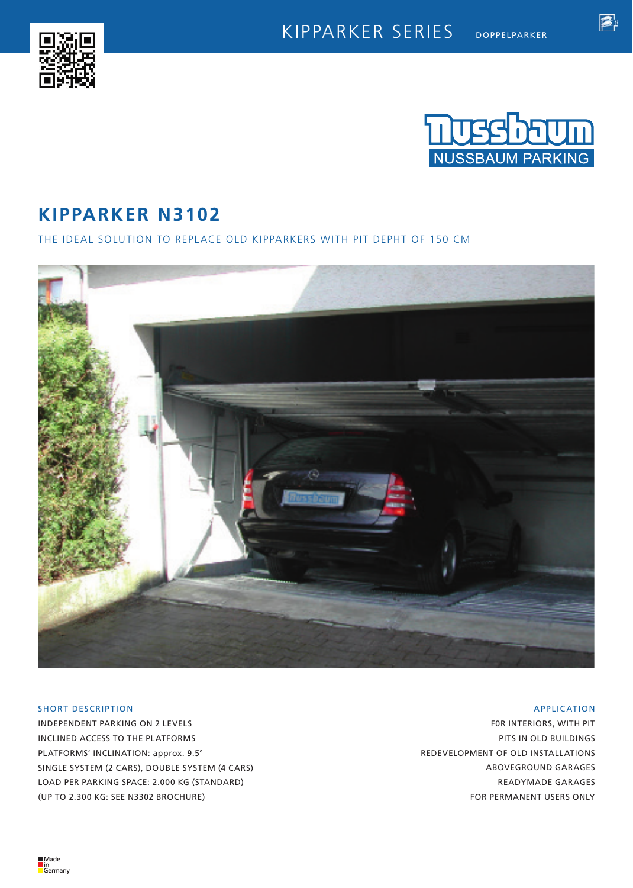



f.

# **KIPPARKER N3102**

THE IDEAL SOLUTION TO REPLACE OLD KIPPARKERS WITH PIT DEPHT OF 150 CM



## SHORT DESCRIPTION

INDEPENDENT PARKING ON 2 LEVELS INCLINED ACCESS TO THE PLATFORMS PLATFORMS' INCLINATION: approx. 9.5° SINGLE SYSTEM (2 CARS), DOUBLE SYSTEM (4 CARS) LOAD PER PARKING SPACE: 2.000 KG (STANDARD) (UP TO 2.300 KG: SEE N3302 BROCHURE)

### APPLICATION

F0R INTERIORS, WITH PIT PITS IN OLD BUILDINGS REDEVELOPMENT OF OLD INSTALLATIONS ABOVEGROUND GARAGES READYMADE GARAGES FOR PERMANENT USERS ONLY

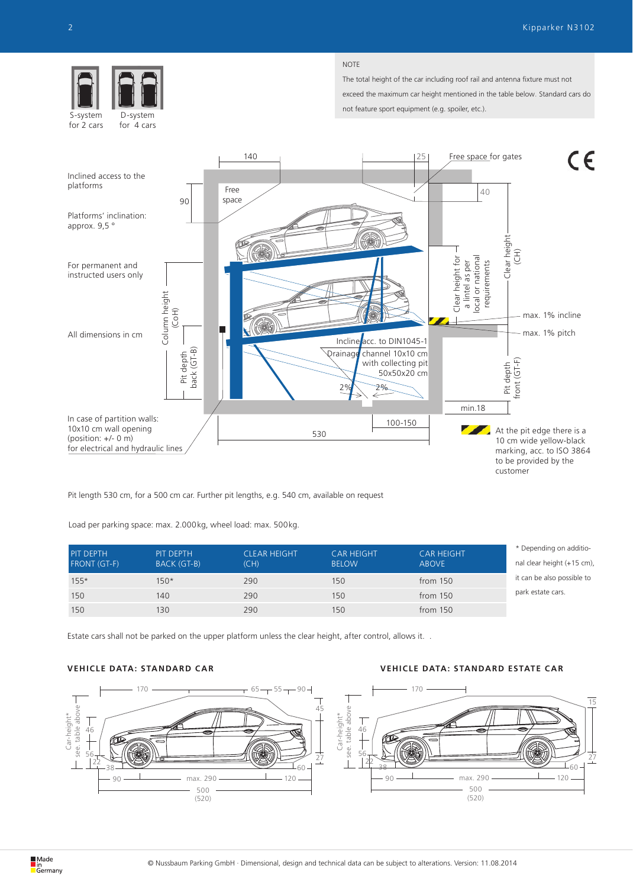

for 4 cars for 2 cars

#### NOTE

The total height of the car including roof rail and antenna fixture must not exceed the maximum car height mentioned in the table below. Standard cars do not feature sport equipment (e.g. spoiler, etc.).



Pit length 530 cm, for a 500 cm car. Further pit lengths, e.g. 540 cm, available on request

Load per parking space: max. 2.000kg, wheel load: max. 500kg.

| PIT DEPTH           | PIT DEPTH          | <b>CLEAR HEIGHT</b> | <b>CAR HEIGHT</b> | <b>CAR HEIGHT</b> | * Depending on additio-    |
|---------------------|--------------------|---------------------|-------------------|-------------------|----------------------------|
| <b>FRONT (GT-F)</b> | <b>BACK (GT-B)</b> | (CH)                | <b>BELOW</b>      | <b>ABOVE</b>      | nal clear height (+15 cm), |
| $155*$              | 150*               | 290                 | 150               | from $150$        | it can be also possible to |
| 150                 | 140                | 290                 | 150               | from $150$        | park estate cars.          |
| 150                 | 130                | 290                 | 150               | from $150$        |                            |

Estate cars shall not be parked on the upper platform unless the clear height, after control, allows it. .

## **VEHICLE DATA: STANDARD CAR VEHICLE DATA: STANDARD ESTATE CAR**

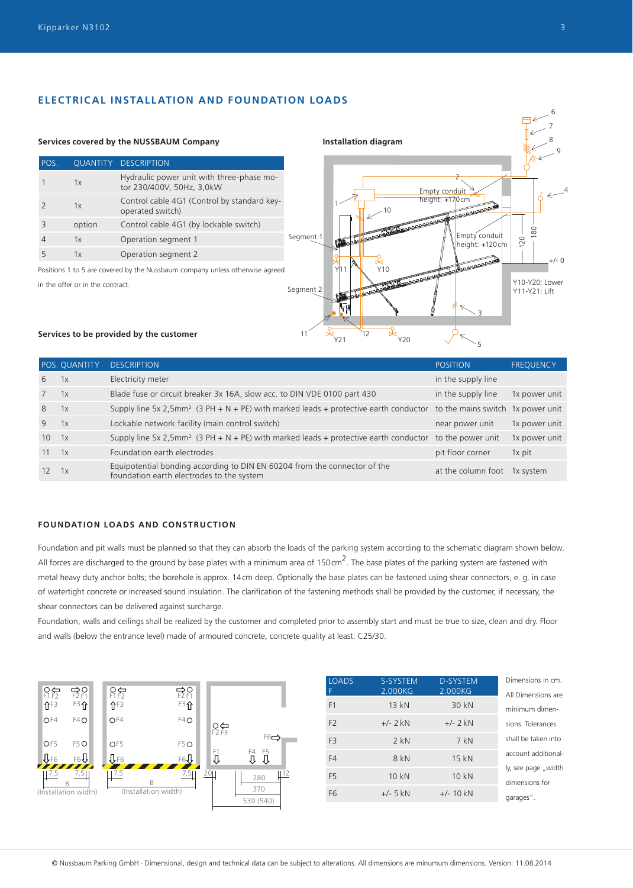## **ELECTRICAL INSTALLATION AND FOUNDATION LOADS**



|             | POS. QUANTITY | <b>DESCRIPTION</b>                                                                                                                 | <b>POSITION</b>    | <b>FREQUENCY</b> |
|-------------|---------------|------------------------------------------------------------------------------------------------------------------------------------|--------------------|------------------|
| 6           | 1x            | Electricity meter                                                                                                                  | in the supply line |                  |
| $7^{\circ}$ | 1x            | Blade fuse or circuit breaker 3x 16A, slow acc. to DIN VDE 0100 part 430                                                           | in the supply line | 1x power unit    |
| 8           | 1x            | Supply line 5x 2,5mm <sup>2</sup> (3 PH + N + PE) with marked leads + protective earth conductor to the mains switch 1x power unit |                    |                  |
| 9           | 1x            | Lockable network facility (main control switch)                                                                                    | near power unit    | 1x power unit    |
| 10          | 1x            | Supply line 5x 2,5mm <sup>2</sup> (3 PH + N + PE) with marked leads + protective earth conductor to the power unit                 |                    | 1x power unit    |
| 11          | 1x            | Foundation earth electrodes                                                                                                        | pit floor corner   | 1x pit           |
| 12          | 1x            | Equipotential bonding according to DIN EN 60204 from the connector of the<br>foundation earth electrodes to the system             | at the column foot | 1x system        |

## **FOUNDATION LOADS AND CONSTRUCTION**

Foundation and pit walls must be planned so that they can absorb the loads of the parking system according to the schematic diagram shown below. All forces are discharged to the ground by base plates with a minimum area of  $150 \text{ cm}^2$ . The base plates of the parking system are fastened with metal heavy duty anchor bolts; the borehole is approx. 14cm deep. Optionally the base plates can be fastened using shear connectors, e. g. in case of watertight concrete or increased sound insulation. The clarification of the fastening methods shall be provided by the customer, if necessary, the shear connectors can be delivered against surcharge.

Foundation, walls and ceilings shall be realized by the customer and completed prior to assembly start and must be true to size, clean and dry. Floor and walls (below the entrance level) made of armoured concrete, concrete quality at least: C25/30.



| <b>LOADS</b><br>F | S-SYSTEM<br>2.000KG | D-SYSTEM<br>2.000KG | Dimensions in cm.<br>All Dimensions are |
|-------------------|---------------------|---------------------|-----------------------------------------|
| F1                | 13 kN               | 30 kN               | minimum dimen-                          |
| F <sub>2</sub>    | $+/- 2$ kN          | $+/- 2$ kN          | sions. Tolerances                       |
| F <sub>3</sub>    | $2$ kN              | 7kN                 | shall be taken into                     |
| F4                | 8 kN                | 15 kN               | account additional-                     |
| F <sub>5</sub>    | 10 kN               | 10 kN               | ly, see page "width<br>dimensions for   |
| F <sub>6</sub>    | $+/- 5$ kN          | $+/- 10$ kN         | garages".                               |
|                   |                     |                     |                                         |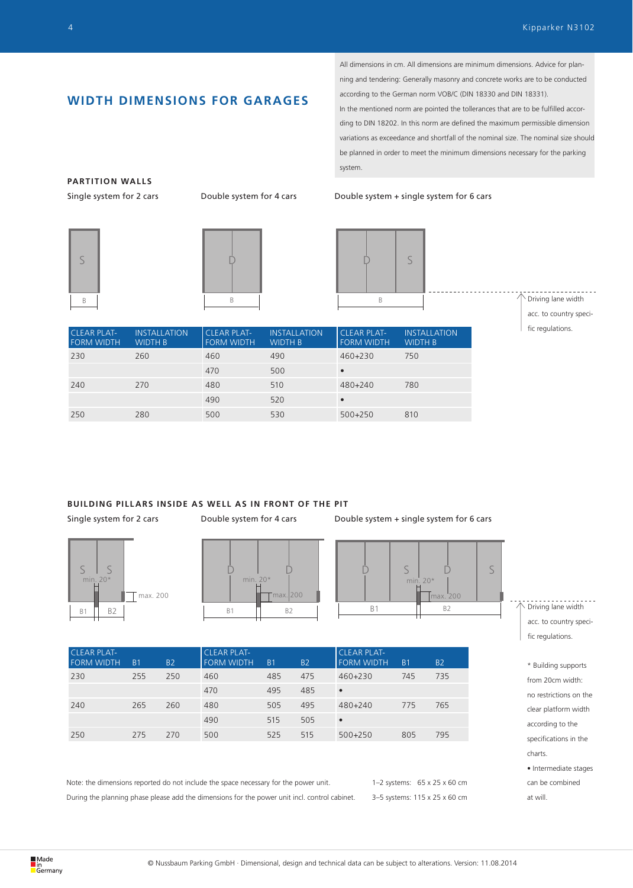## **WIDTH DIMENSIONS FOR GARAGES**

All dimensions in cm. All dimensions are minimum dimensions. Advice for planning and tendering: Generally masonry and concrete works are to be conducted according to the German norm VOB/C (DIN 18330 and DIN 18331).

In the mentioned norm are pointed the tollerances that are to be fulfilled according to DIN 18202. In this norm are defined the maximum permissible dimension variations as exceedance and shortfall of the nominal size. The nominal size should be planned in order to meet the minimum dimensions necessary for the parking system.

Single system for 2 cars Double system for 4 cars Double system + single system for 6 cars



**PARTITION WALLS**





 $\uparrow$  Driving lane width acc. to country specific regulations.

| <b>CLEAR PLAT-</b><br><b>FORM WIDTH</b> | <b>INSTALLATION</b><br><b>WIDTH B</b> | <b>CLEAR PLAT-</b><br><b>FORM WIDTH</b> | <b>INSTALLATION</b><br><b>WIDTH B</b> | <b>CLEAR PLAT-</b><br><b>FORM WIDTH</b> | <b>INSTALLATION</b><br><b>WIDTH B</b> |
|-----------------------------------------|---------------------------------------|-----------------------------------------|---------------------------------------|-----------------------------------------|---------------------------------------|
| 230                                     | 260                                   | 460                                     | 490                                   | 460+230                                 | 750                                   |
|                                         |                                       | 470                                     | 500                                   | $\bullet$                               |                                       |
| 240                                     | 270                                   | 480                                     | 510                                   | $480 + 240$                             | 780                                   |
|                                         |                                       | 490                                     | 520                                   | $\bullet$                               |                                       |
| 250                                     | 280                                   | 500                                     | 530                                   | $500+250$                               | 810                                   |

## **BUILDING PILLARS INSIDE AS WELL AS IN FRONT OF THE PIT**

Single system for 2 cars **Double system for 4 cars** Double system + single system for 6 cars







| <b>CLEAR PLAT-</b><br><b>FORM WIDTH</b> | B <sub>1</sub> | <b>B2</b> | <b>CLEAR PLAT-</b><br><b>FORM WIDTH</b> | B <sub>1</sub> | <b>B2</b> | <b>CLEAR PLAT-</b><br><b>FORM WIDTH</b> | B <sub>1</sub> | <b>B2</b> |
|-----------------------------------------|----------------|-----------|-----------------------------------------|----------------|-----------|-----------------------------------------|----------------|-----------|
| 230                                     | 255            | 250       | 460                                     | 485            | 475       | 460+230                                 | 745            | 735       |
|                                         |                |           | 470                                     | 495            | 485       | $\bullet$                               |                |           |
| 240                                     | 265            | 260       | 480                                     | 505            | 495       | 480+240                                 | 775            | 765       |
|                                         |                |           | 490                                     | 515            | 505       | $\bullet$                               |                |           |
| 250                                     | 275            | 270       | 500                                     | 525            | 515       | $500 + 250$                             | 805            | 795       |

Note: the dimensions reported do not include the space necessary for the power unit. During the planning phase please add the dimensions for the power unit incl. control cabinet.

1–2 systems: 65 x 25 x 60 cm 3–5 systems: 115 x 25 x 60 cm  $\wedge$  Driving lane width acc. to country specific regulations.

> \* Building supports from 20cm width: no restrictions on the clear platform width according to the specifications in the charts. • Intermediate stages can be combined at will.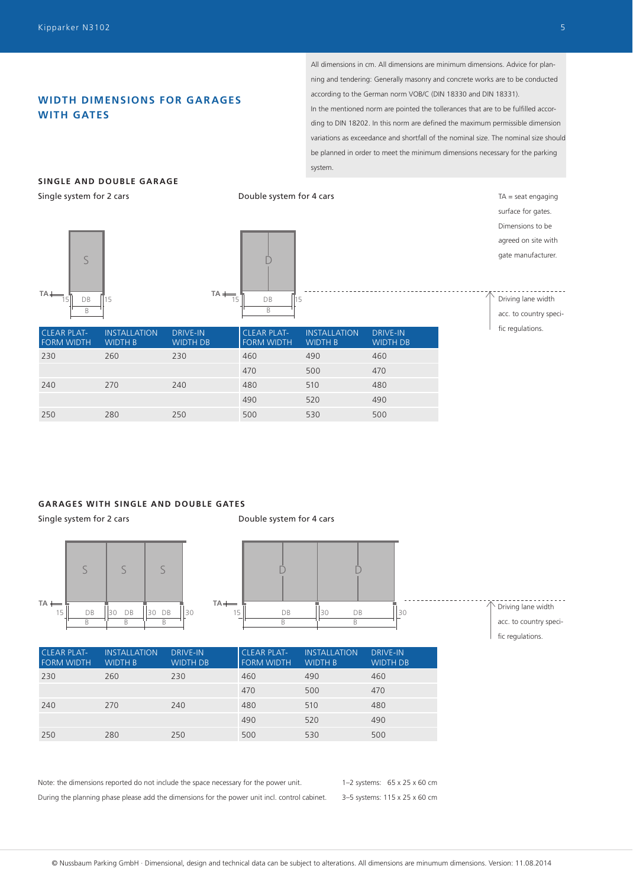## **WIDTH DIMENSIONS FOR GAR AGES WITH GATES**

All dimensions in cm. All dimensions are minimum dimensions. Advice for planning and tendering: Generally masonry and concrete works are to be conducted according to the German norm VOB/C (DIN 18330 and DIN 18331). In the mentioned norm are pointed the tollerances that are to be fulfilled according to DIN 18202. In this norm are defined the maximum permissible dimension variations as exceedance and shortfall of the nominal size. The nominal size should be planned in order to meet the minimum dimensions necessary for the parking system.

## **SINGLE AND DOUBLE GARAGE**

Single system for 2 cars





Double system for 4 cars

surface for gates. Dimensions to be agreed on site with gate manufacturer.

 $TA =$  seat engaging

Driving lane width acc. to country specific regulations.

| <b>CLEAR PLAT-</b><br><b>FORM WIDTH</b> | <b>INSTALLATION</b><br><b>WIDTH B</b> | <b>DRIVE-IN</b><br><b>WIDTH DB</b> | <b>CLEAR PLAT-</b><br><b>FORM WIDTH</b> | <b>INSTALLATION</b><br><b>WIDTH B</b> | <b>DRIVE-IN</b><br><b>WIDTH DB</b> |
|-----------------------------------------|---------------------------------------|------------------------------------|-----------------------------------------|---------------------------------------|------------------------------------|
| 230                                     | 260                                   | 230                                | 460                                     | 490                                   | 460                                |
|                                         |                                       |                                    | 470                                     | 500                                   | 470                                |
| 240                                     | 270                                   | 240                                | 480                                     | 510                                   | 480                                |
|                                         |                                       |                                    | 490                                     | 520                                   | 490                                |
| 250                                     | 280                                   | 250                                | 500                                     | 530                                   | 500                                |

#### **GARAGES WITH SINGLE AND DOUBLE GATES**

Single system for 2 cars



Double system for 4 cars



CLEAR PLAT-FORM WIDTH **INSTALLATION** WIDTH B DRIVE-IN WIDTH DB CLEAR PLAT-FORM WIDTH INSTALLATION WIDTH B DRIVE-IN WIDTH DB 230 260 230 460 490 460 470 500 470 240 270 240 480 510 480 490 520 490 250 280 250 500 530 500

Note: the dimensions reported do not include the space necessary for the power unit. During the planning phase please add the dimensions for the power unit incl. control cabinet.

1–2 systems: 65 x 25 x 60 cm 3–5 systems: 115 x 25 x 60 cm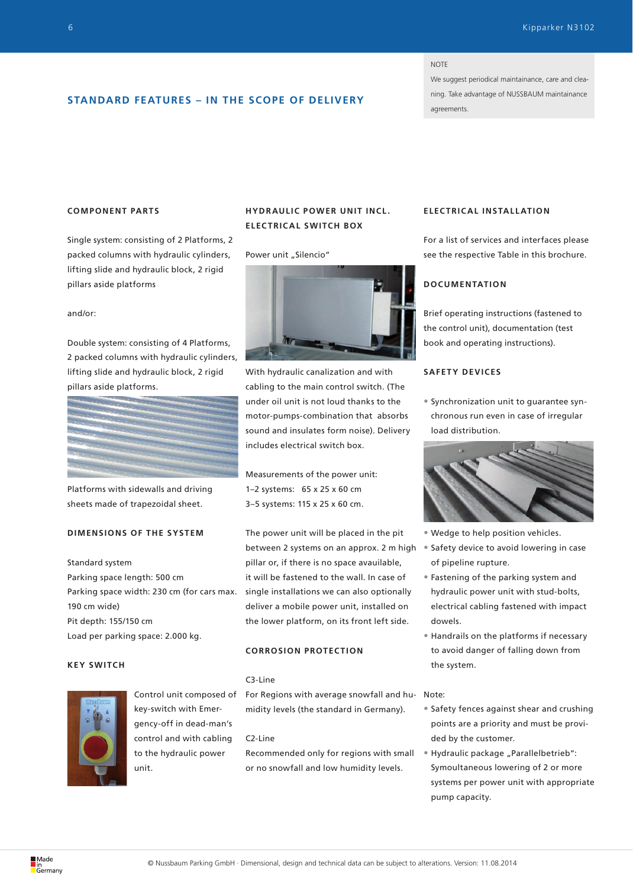#### NOTE

We suggest periodical maintainance, care and cleaning. Take advantage of NUSSBAUM maintainance agreements.

## **STANDARD FEATURES – IN THE SCOPE OF DELIVERY**

## **COMPONENT PARTS**

Single system: consisting of 2 Platforms, 2 packed columns with hydraulic cylinders, lifting slide and hydraulic block, 2 rigid pillars aside platforms

#### and/or:

Double system: consisting of 4 Platforms, 2 packed columns with hydraulic cylinders, lifting slide and hydraulic block, 2 rigid pillars aside platforms.



Platforms with sidewalls and driving sheets made of trapezoidal sheet.

## **DIMENSIONS OF THE SYSTEM**

Standard system Parking space length: 500 cm Parking space width: 230 cm (for cars max. 190 cm wide) Pit depth: 155/150 cm Load per parking space: 2.000 kg.

## **KEY SWITCH**



Control unit composed of key-switch with Emergency-off in dead-man's control and with cabling to the hydraulic power unit.

## **HYDRAULIC POWER UNIT INCL. ELECTRICAL SWITCH BOX**

#### Power unit "Silencio"



With hydraulic canalization and with cabling to the main control switch. (The under oil unit is not loud thanks to the motor-pumps-combination that absorbs sound and insulates form noise). Delivery includes electrical switch box.

Measurements of the power unit: 1–2 systems: 65 x 25 x 60 cm 3–5 systems: 115 x 25 x 60 cm.

The power unit will be placed in the pit between 2 systems on an approx. 2 m high pillar or, if there is no space avauilable, it will be fastened to the wall. In case of single installations we can also optionally deliver a mobile power unit, installed on the lower platform, on its front left side.

## **CORROSION PROTECTION**

#### C3-Line

For Regions with average snowfall and hu-Note: midity levels (the standard in Germany).

#### C2-Line

Recommended only for regions with small or no snowfall and low humidity levels.

## **ELEC TRIC AL INSTALL ATION**

For a list of services and interfaces please see the respective Table in this brochure.

## **DOCUMENTATION**

Brief operating instructions (fastened to the control unit), documentation (test book and operating instructions).

#### **SAFETY DEVICES**

• Synchronization unit to guarantee synchronous run even in case of irregular load distribution.



- Wedge to help position vehicles.
- Safety device to avoid lowering in case of pipeline rupture.
- Fastening of the parking system and hydraulic power unit with stud-bolts, electrical cabling fastened with impact dowels.
- Handrails on the platforms if necessary to avoid danger of falling down from the system.

- Safety fences against shear and crushing points are a priority and must be provided by the customer.
- Hydraulic package "Parallelbetrieb": Symoultaneous lowering of 2 or more systems per power unit with appropriate pump capacity.

∎ın<br><mark>Ö</mark>Germany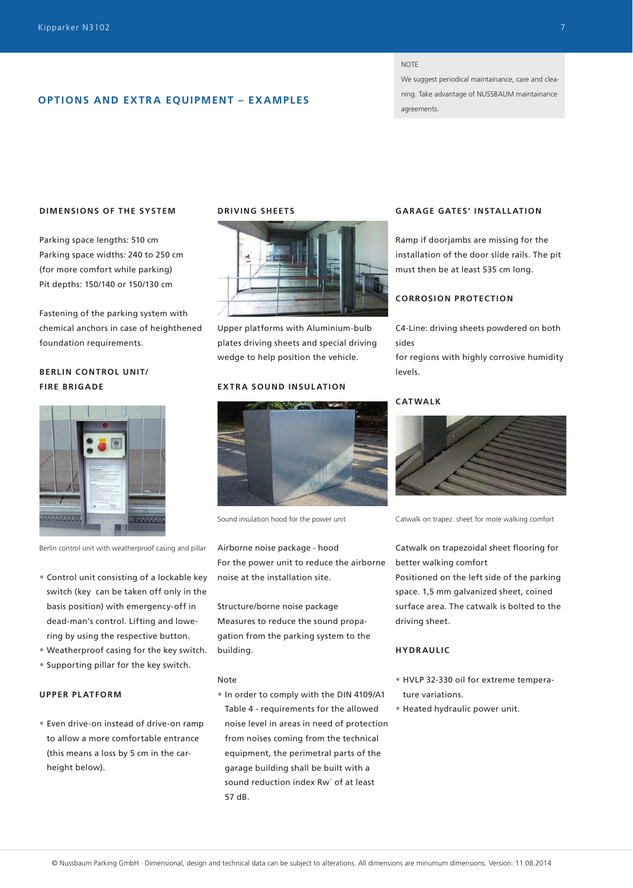## **OPTIONS AND EXTRA EQUIPMENT – EXAMPLES**

#### **NOTE**

We suggest periodical maintainance, care and cleaning. Take advantage of NUSSBAUM maintainance agreements.

#### **DIMENSIONS OF THE SYSTEM**

Parking space lengths: 510 cm Parking space widths: 240 to 250 cm (for more comfort while parking) Pit depths: 150/140 or 150/130 cm

Fastening of the parking system with chemical anchors in case of heighthened foundation requirements.

## **BERLIN CONTROL UNIT/ FIRE BRIGADE**



Berlin control unit with weatherproof casing and pillar

- Control unit consisting of a lockable key switch (key can be taken off only in the basis position) with emergency-off in dead-man's control. Lifting and lowering by using the respective button.
- Weatherproof casing for the key switch.
- Supporting pillar for the key switch.

#### **UPPER PLATFORM**

• Even drive-on instead of drive-on ramp to allow a more comfortable entrance (this means a loss by 5 cm in the carheight below).

### **DRIVING SHEETS**



Upper platforms with Aluminium-bulb plates driving sheets and special driving wedge to help position the vehicle.

#### **EXTRA SOUND INSULATION**



Sound insulation hood for the power unit

Airborne noise package - hood For the power unit to reduce the airborne noise at the installation site.

Structure/borne noise package Measures to reduce the sound propagation from the parking system to the building.

#### Note

• In order to comply with the DIN 4109/A1 Table 4 - requirements for the allowed noise level in areas in need of protection from noises coming from the technical equipment, the perimetral parts of the garage building shall be built with a sound reduction index Rw´ of at least 57 dB.

## **GAR AGE GATES' INSTALL ATION**

Ramp if doorjambs are missing for the installation of the door slide rails. The pit must then be at least 535 cm long.

### **CORROSION PROTECTION**

C4-Line: driving sheets powdered on both sides

for regions with highly corrosive humidity levels.

#### **CATWALK**



Catwalk on trapez. sheet for more walking comfort

Catwalk on trapezoidal sheet flooring for better walking comfort

Positioned on the left side of the parking space. 1,5 mm galvanized sheet, coined surface area. The catwalk is bolted to the driving sheet.

## **HYDRAULIC**

- HVLP 32-330 oil for extreme temperature variations.
- Heated hydraulic power unit.